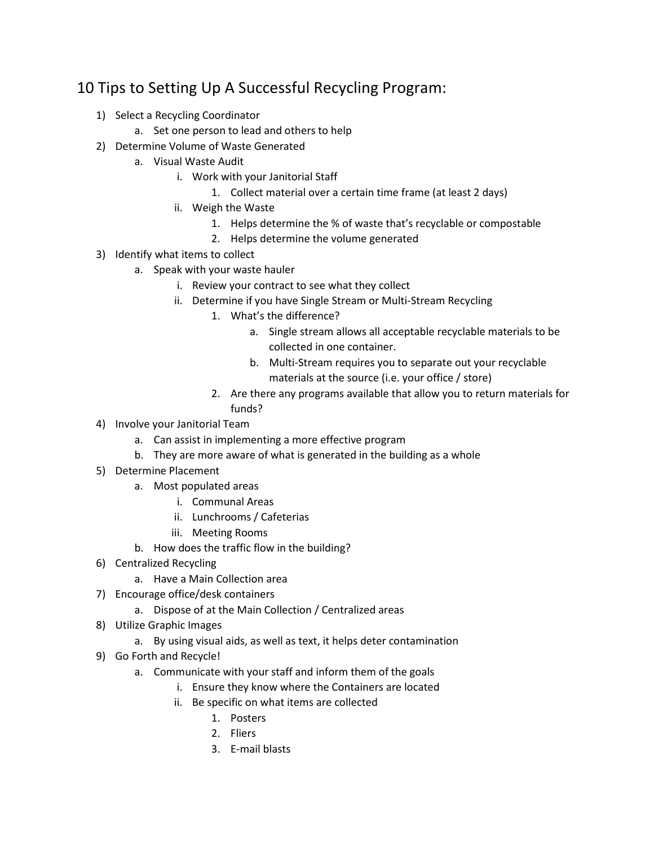## 10 Tips to Setting Up A Successful Recycling Program:

- 1) Select a Recycling Coordinator
	- a. Set one person to lead and others to help
- 2) Determine Volume of Waste Generated
	- a. Visual Waste Audit
		- i. Work with your Janitorial Staff
			- 1. Collect material over a certain time frame (at least 2 days)
		- ii. Weigh the Waste
			- 1. Helps determine the % of waste that's recyclable or compostable
			- 2. Helps determine the volume generated
- 3) Identify what items to collect
	- a. Speak with your waste hauler
		- i. Review your contract to see what they collect
		- ii. Determine if you have Single Stream or Multi-Stream Recycling
			- 1. What's the difference?
				- a. Single stream allows all acceptable recyclable materials to be collected in one container.
				- b. Multi-Stream requires you to separate out your recyclable materials at the source (i.e. your office / store)
			- 2. Are there any programs available that allow you to return materials for funds?
- 4) Involve your Janitorial Team
	- a. Can assist in implementing a more effective program
	- b. They are more aware of what is generated in the building as a whole
- 5) Determine Placement
	- a. Most populated areas
		- i. Communal Areas
		- ii. Lunchrooms / Cafeterias
		- iii. Meeting Rooms
	- b. How does the traffic flow in the building?
- 6) Centralized Recycling
	- a. Have a Main Collection area
- 7) Encourage office/desk containers
	- a. Dispose of at the Main Collection / Centralized areas
- 8) Utilize Graphic Images
	- a. By using visual aids, as well as text, it helps deter contamination
- 9) Go Forth and Recycle!
	- a. Communicate with your staff and inform them of the goals
		- i. Ensure they know where the Containers are located
		- ii. Be specific on what items are collected
			- 1. Posters
			- 2. Fliers
			- 3. E-mail blasts